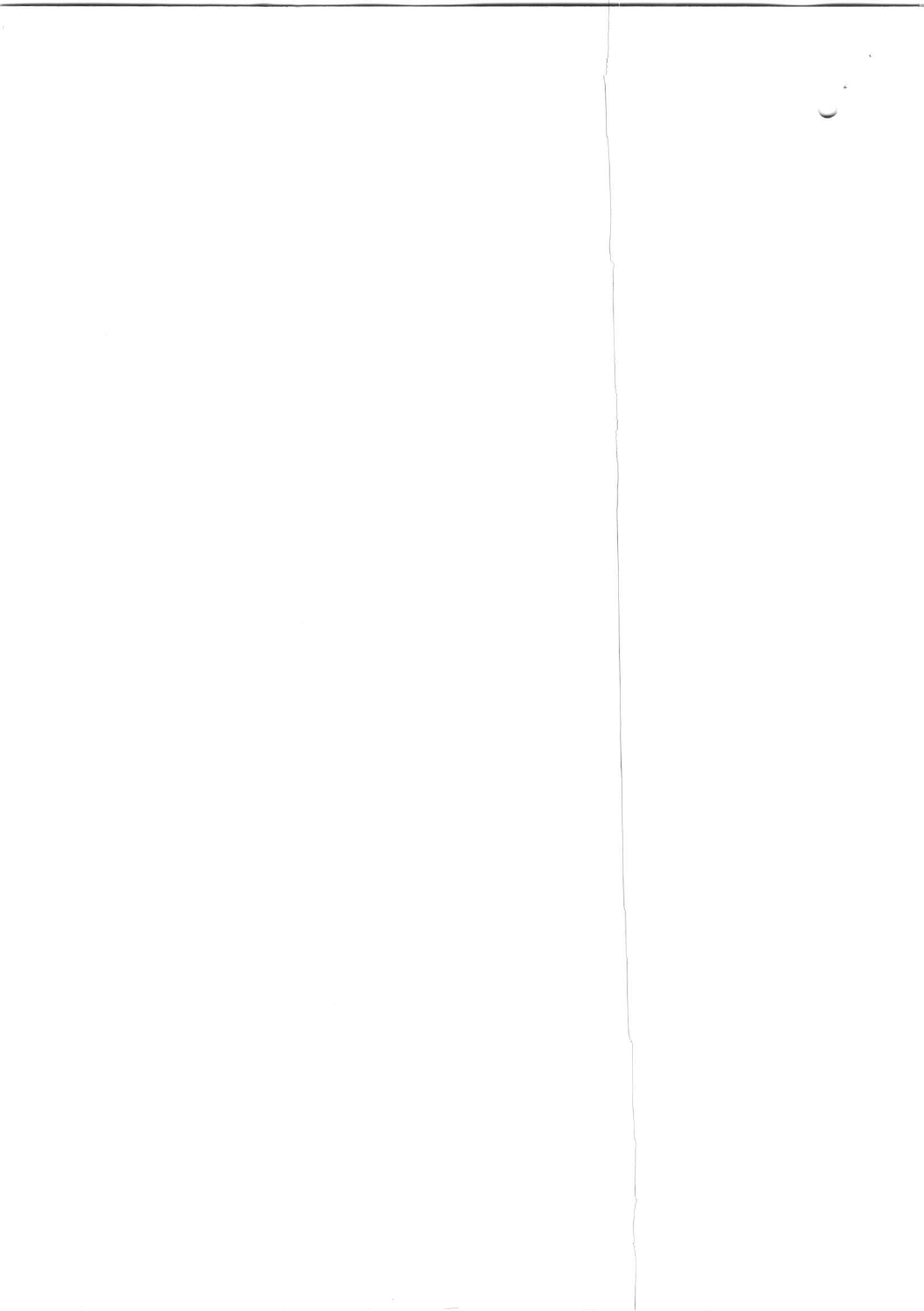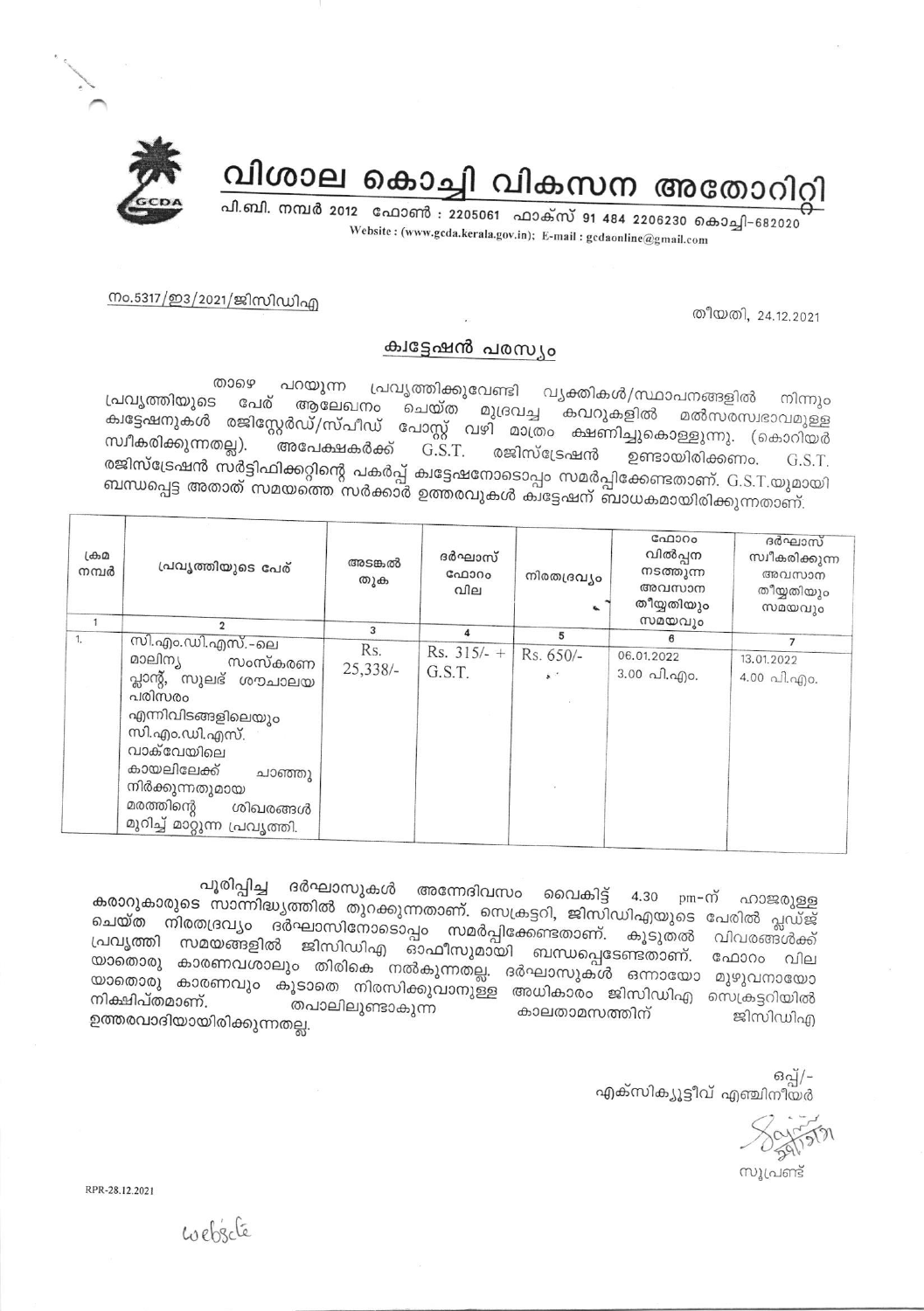

## വിശാല കൊച്ചി വികസന അതോറി

പി.ബി. നമ്പർ 2012 ഫോൺ : 2205061 ഫാക്സ് 91 484 2206230 കൊച്ചി-682020 Website: (www.gcda.kerala.gov.in); E-mail: gcdaonline@gmail.com

## നം.5317/ഇ3/2021/ജിസിഡിഎ

തീയതി, 24.12.2021

## ക്വട്ടേഷൻ പരസ്യം

താഴെ പ്രവൃത്തിക്കുവേണ്ടി വ്യക്തികൾ/സ്ഥാപനങ്ങളിൽ പറയുന്ന നിന്നും പ്രവൃത്തിയുടെ പേര് ആലേഖനം ചെയ്ത മുദ്രവച്ച കവറുകളിൽ മൽസരസ്വഭാവമുള്ള ക്വട്ടേഷനുകൾ രജിസ്റ്റേർഡ്/സ്പീഡ് പോസ്റ്റ് വഴി മാത്രം ക്ഷണിച്ചുകൊള്ളുന്നു. (കൊറിയർ സ്വീകരിക്കുന്നതല്ല). അപേക്ഷകർക്ക് G.S.T. രജിസ്ട്രേഷൻ ഉണ്ടായിരിക്കണം. രജിസ്ട്രേഷൻ സർട്ടിഫിക്കറ്റിന്റെ പകർപ്പ് ക്വട്ടേഷനോടൊപ്പം സമർപ്പിക്കേണ്ടതാണ്. G.S.T.യുമായി ബന്ധപ്പെട്ട അതാത് സമയത്തെ സർക്കാർ ഉത്തരവുകൾ കിട്ടേഷന് ബാധകമായിരിക്കുന്നതാണ്.

| (cb)<br>നമ്പർ | പ്രവൃത്തിയുടെ പേര്                                                                                                                                                                                                                     | അടങ്കൽ<br>തുക     | ദർഘാസ്<br>GAD300<br>വില | നിരതദ്രവ്യം<br>$\tilde{\phantom{a}}$ | ഫോറം<br>വിൽപ്പന<br>നടത്തുന്ന<br>അവസാന<br>തീയ്യതിയും<br>സമയവും | ദർഘാസ്<br>സ്വീകരിക്കുന്ന<br>അവസാന<br>തീയ്യതിയും<br>സമയവും |
|---------------|----------------------------------------------------------------------------------------------------------------------------------------------------------------------------------------------------------------------------------------|-------------------|-------------------------|--------------------------------------|---------------------------------------------------------------|-----------------------------------------------------------|
| 1.            | $\overline{2}$                                                                                                                                                                                                                         | 3                 | 4                       | 5                                    | 6                                                             |                                                           |
|               | സി.എം.ഡി.എസ്.-ലെ<br>മാലിന്യ<br>സംസ്കരണ<br>പ്ലാന്റ്, സുലഭ് ശൗചാലയ<br>പരിസരം<br>എന്നിവിടങ്ങളിലെയും<br>സി.എം.ഡി.എസ്.<br>വാക്വേയിലെ<br>കായലിലേക്ക്<br>ചാഞ്ഞു<br>നിർക്കുന്നതുമായ<br>മരത്തിന്റെ<br>ശിഖരങ്ങൾ<br>മുറിച്ച് മാറ്റുന്ന പ്രവൃത്തി. | Rs.<br>$25,338/-$ | Rs. $315/-$ +<br>G.S.T. | Rs. 650/-<br>$\mathbf{A}$ .          | 06.01.2022<br>3.00 പി.എം.                                     | 13.01.2022<br>4.00 പി.എo.                                 |

പൂരിപ്പിച്ച ദർഘാസുകൾ അന്നേദിവസം വൈകിട്ട് 4.30 pm–ന് ഹാജരുള്ള കരാറുകാരുടെ സാന്നിദ്ധ്യത്തിൽ തുറക്കുന്നതാണ്. സെക്രട്ടറി, ജിസിഡിഎയുടെ പേരിൽ പ്ലഡ്ജ് ചെയ്ത നിരതദ്രവ്യം ദർഘാസിനോടൊപ്പം സമർപ്പിക്കേണ്ടതാണ്. കൂടുതൽ വിവരങ്ങൾക്ക് പ്രവൃത്തി സമയങ്ങളിൽ ജിസിഡിഎ ഓഫീസുമായി ബന്ധപ്പെടേണ്ടതാണ്. യാതൊരു കാരണവശാലും തിരികെ നൽകുന്നതല്ല. ദർഘാസുകൾ ഒന്നായോ മുഴുവനായോ ഫോറം വില യാതൊരു കാരണവും കൂടാതെ നിരസിക്കുവാനുള്ള അധികാരം ജിസിഡിഎ സെക്രട്ടറിയിൽ നിക്ഷിപ്തമാണ്. തപാലിലുണ്ടാകുന്ന കാലതാമസത്തിന് ജിസിഡിഎ ഉത്തരവാദിയായിരിക്കുന്നതല്ല.

ഒപ് $/$ -എക്സിക്യൂട്ടീവ് എഞ്ചിനീയർ

സൂപ്രണ്ട്

RPR-28.12.2021

websche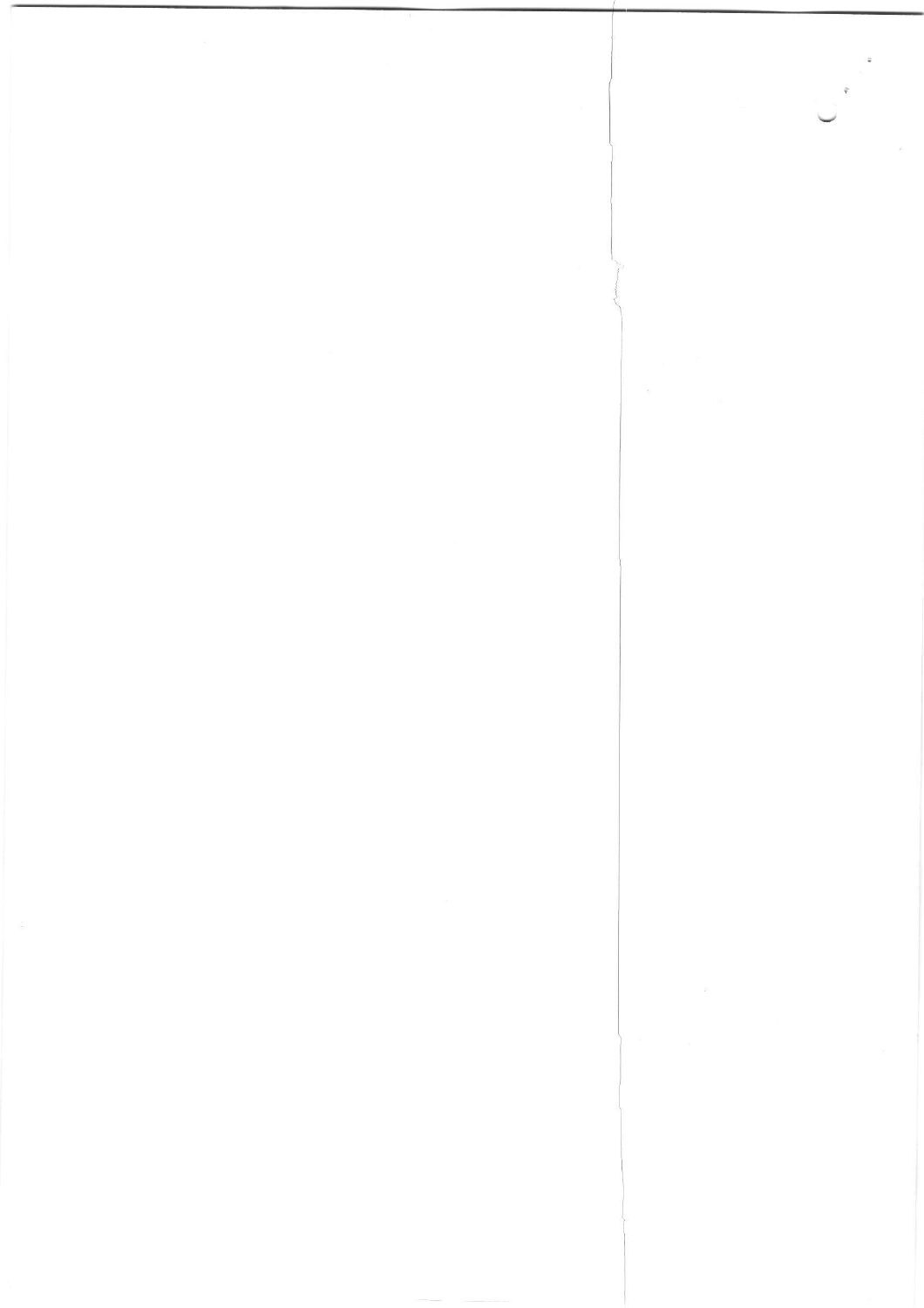